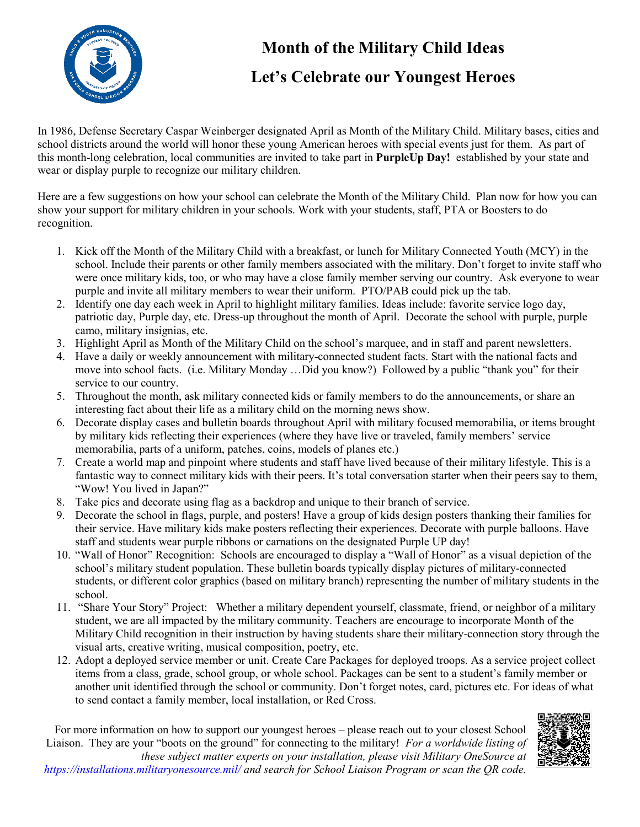

# **Month of the Military Child Ideas**

# **Let's Celebrate our Youngest Heroes**

In 1986, Defense Secretary Caspar Weinberger designated April as Month of the Military Child. Military bases, cities and school districts around the world will honor these young American heroes with special events just for them. As part of this month-long celebration, local communities are invited to take part in **PurpleUp Day!** established by your state and wear or display purple to recognize our military children.

Here are a few suggestions on how your school can celebrate the Month of the Military Child. Plan now for how you can show your support for military children in your schools. Work with your students, staff, PTA or Boosters to do recognition.

- 1. Kick off the Month of the Military Child with a breakfast, or lunch for Military Connected Youth (MCY) in the school. Include their parents or other family members associated with the military. Don't forget to invite staff who were once military kids, too, or who may have a close family member serving our country. Ask everyone to wear purple and invite all military members to wear their uniform. PTO/PAB could pick up the tab.
- 2. Identify one day each week in April to highlight military families. Ideas include: favorite service logo day, patriotic day, Purple day, etc. Dress-up throughout the month of April. Decorate the school with purple, purple camo, military insignias, etc.
- 3. Highlight April as Month of the Military Child on the school's marquee, and in staff and parent newsletters.
- 4. Have a daily or weekly announcement with military-connected student facts. Start with the national facts and move into school facts. (i.e. Military Monday …Did you know?) Followed by a public "thank you" for their service to our country.
- 5. Throughout the month, ask military connected kids or family members to do the announcements, or share an interesting fact about their life as a military child on the morning news show.
- 6. Decorate display cases and bulletin boards throughout April with military focused memorabilia, or items brought by military kids reflecting their experiences (where they have live or traveled, family members' service memorabilia, parts of a uniform, patches, coins, models of planes etc.)
- 7. Create a world map and pinpoint where students and staff have lived because of their military lifestyle. This is a fantastic way to connect military kids with their peers. It's total conversation starter when their peers say to them, "Wow! You lived in Japan?"
- 8. Take pics and decorate using flag as a backdrop and unique to their branch of service.
- 9. Decorate the school in flags, purple, and posters! Have a group of kids design posters thanking their families for their service. Have military kids make posters reflecting their experiences. Decorate with purple balloons. Have staff and students wear purple ribbons or carnations on the designated Purple UP day!
- 10. "Wall of Honor" Recognition: Schools are encouraged to display a "Wall of Honor" as a visual depiction of the school's military student population. These bulletin boards typically display pictures of military-connected students, or different color graphics (based on military branch) representing the number of military students in the school.
- 11. "Share Your Story" Project: Whether a military dependent yourself, classmate, friend, or neighbor of a military student, we are all impacted by the military community. Teachers are encourage to incorporate Month of the Military Child recognition in their instruction by having students share their military-connection story through the visual arts, creative writing, musical composition, poetry, etc.
- 12. Adopt a deployed service member or unit. Create Care Packages for deployed troops. As a service project collect items from a class, grade, school group, or whole school. Packages can be sent to a student's family member or another unit identified through the school or community. Don't forget notes, card, pictures etc. For ideas of what to send contact a family member, local installation, or Red Cross.

For more information on how to support our youngest heroes – please reach out to your closest School Liaison. They are your "boots on the ground" for connecting to the military! *For a worldwide listing of* 



*these subject matter experts on your installation, please visit Military OneSource at https://installations.militaryonesource.mil/ and search for School Liaison Program or scan the QR code.*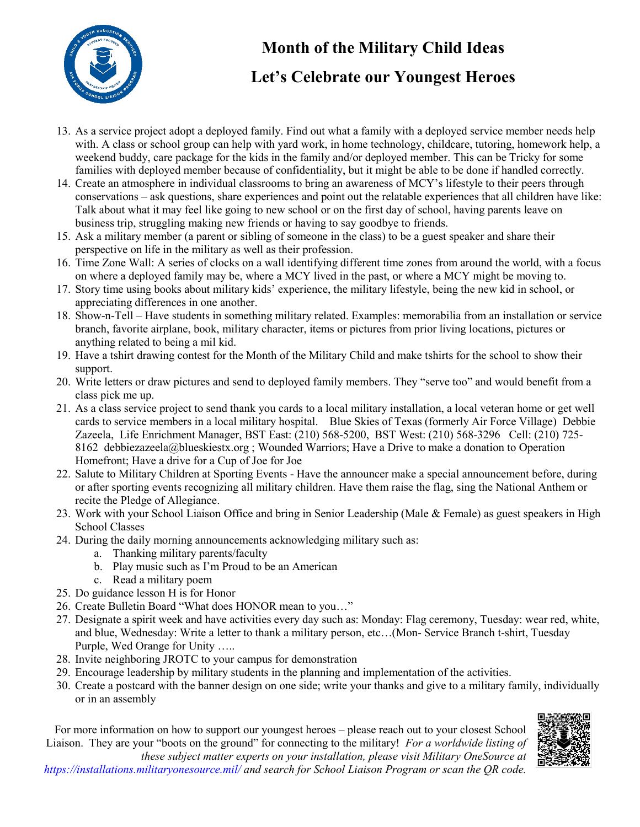

# **Month of the Military Child Ideas**

# **Let's Celebrate our Youngest Heroes**

- 13. As a service project adopt a deployed family. Find out what a family with a deployed service member needs help with. A class or school group can help with yard work, in home technology, childcare, tutoring, homework help, a weekend buddy, care package for the kids in the family and/or deployed member. This can be Tricky for some families with deployed member because of confidentiality, but it might be able to be done if handled correctly.
- 14. Create an atmosphere in individual classrooms to bring an awareness of MCY's lifestyle to their peers through conservations – ask questions, share experiences and point out the relatable experiences that all children have like: Talk about what it may feel like going to new school or on the first day of school, having parents leave on business trip, struggling making new friends or having to say goodbye to friends.
- 15. Ask a military member (a parent or sibling of someone in the class) to be a guest speaker and share their perspective on life in the military as well as their profession.
- 16. Time Zone Wall: A series of clocks on a wall identifying different time zones from around the world, with a focus on where a deployed family may be, where a MCY lived in the past, or where a MCY might be moving to.
- 17. Story time using books about military kids' experience, the military lifestyle, being the new kid in school, or appreciating differences in one another.
- 18. Show-n-Tell Have students in something military related. Examples: memorabilia from an installation or service branch, favorite airplane, book, military character, items or pictures from prior living locations, pictures or anything related to being a mil kid.
- 19. Have a tshirt drawing contest for the Month of the Military Child and make tshirts for the school to show their support.
- 20. Write letters or draw pictures and send to deployed family members. They "serve too" and would benefit from a class pick me up.
- 21. As a class service project to send thank you cards to a local military installation, a local veteran home or get well cards to service members in a local military hospital. Blue Skies of Texas (formerly Air Force Village) Debbie Zazeela, Life Enrichment Manager, BST East: (210) 568-5200, BST West: (210) 568-3296 Cell: (210) 725- 8162 debbiezazeela@blueskiestx.org ; Wounded Warriors; Have a Drive to make a donation to Operation Homefront; Have a drive for a Cup of Joe for Joe
- 22. Salute to Military Children at Sporting Events Have the announcer make a special announcement before, during or after sporting events recognizing all military children. Have them raise the flag, sing the National Anthem or recite the Pledge of Allegiance.
- 23. Work with your School Liaison Office and bring in Senior Leadership (Male & Female) as guest speakers in High School Classes
- 24. During the daily morning announcements acknowledging military such as:
	- a. Thanking military parents/faculty
	- b. Play music such as I'm Proud to be an American
	- c. Read a military poem
- 25. Do guidance lesson H is for Honor
- 26. Create Bulletin Board "What does HONOR mean to you…"
- 27. Designate a spirit week and have activities every day such as: Monday: Flag ceremony, Tuesday: wear red, white, and blue, Wednesday: Write a letter to thank a military person, etc…(Mon- Service Branch t-shirt, Tuesday Purple, Wed Orange for Unity …..
- 28. Invite neighboring JROTC to your campus for demonstration
- 29. Encourage leadership by military students in the planning and implementation of the activities.
- 30. Create a postcard with the banner design on one side; write your thanks and give to a military family, individually or in an assembly

For more information on how to support our youngest heroes – please reach out to your closest School Liaison. They are your "boots on the ground" for connecting to the military! *For a worldwide listing of*